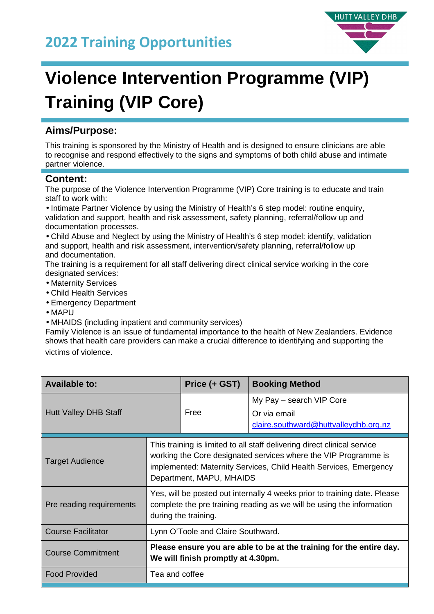## **2022 Training Opportunities**



# **Violence Intervention Programme (VIP) Training (VIP Core)**

### **Aims/Purpose:**

This training is sponsored by the Ministry of Health and is designed to ensure clinicians are able to recognise and respond effectively to the signs and symptoms of both child abuse and intimate partner violence.

#### **Content:**

The purpose of the Violence Intervention Programme (VIP) Core training is to educate and train staff to work with:

• Intimate Partner Violence by using the Ministry of Health's 6 step model: routine enquiry, validation and support, health and risk assessment, safety planning, referral/follow up and documentation processes.

• Child Abuse and Neglect by using the Ministry of Health's 6 step model: identify, validation and support, health and risk assessment, intervention/safety planning, referral/follow up and documentation.

The training is a requirement for all staff delivering direct clinical service working in the core designated services:

- Maternity Services
- Child Health Services
- Emergency Department
- MAPU

• MHAIDS (including inpatient and community services)

Family Violence is an issue of fundamental importance to the health of New Zealanders. Evidence shows that health care providers can make a crucial difference to identifying and supporting the victims of violence.

| <b>Available to:</b>         |                                                                                                                                                                                                                                              | Price (+ GST) | <b>Booking Method</b>                                                             |
|------------------------------|----------------------------------------------------------------------------------------------------------------------------------------------------------------------------------------------------------------------------------------------|---------------|-----------------------------------------------------------------------------------|
| <b>Hutt Valley DHB Staff</b> |                                                                                                                                                                                                                                              | Free          | My Pay - search VIP Core<br>Or via email<br>claire.southward@huttvalleydhb.org.nz |
| <b>Target Audience</b>       | This training is limited to all staff delivering direct clinical service<br>working the Core designated services where the VIP Programme is<br>implemented: Maternity Services, Child Health Services, Emergency<br>Department, MAPU, MHAIDS |               |                                                                                   |
| Pre reading requirements     | Yes, will be posted out internally 4 weeks prior to training date. Please<br>complete the pre training reading as we will be using the information<br>during the training.                                                                   |               |                                                                                   |
| <b>Course Facilitator</b>    | Lynn O'Toole and Claire Southward.                                                                                                                                                                                                           |               |                                                                                   |
| <b>Course Commitment</b>     | Please ensure you are able to be at the training for the entire day.<br>We will finish promptly at 4.30pm.                                                                                                                                   |               |                                                                                   |
| <b>Food Provided</b>         | Tea and coffee                                                                                                                                                                                                                               |               |                                                                                   |